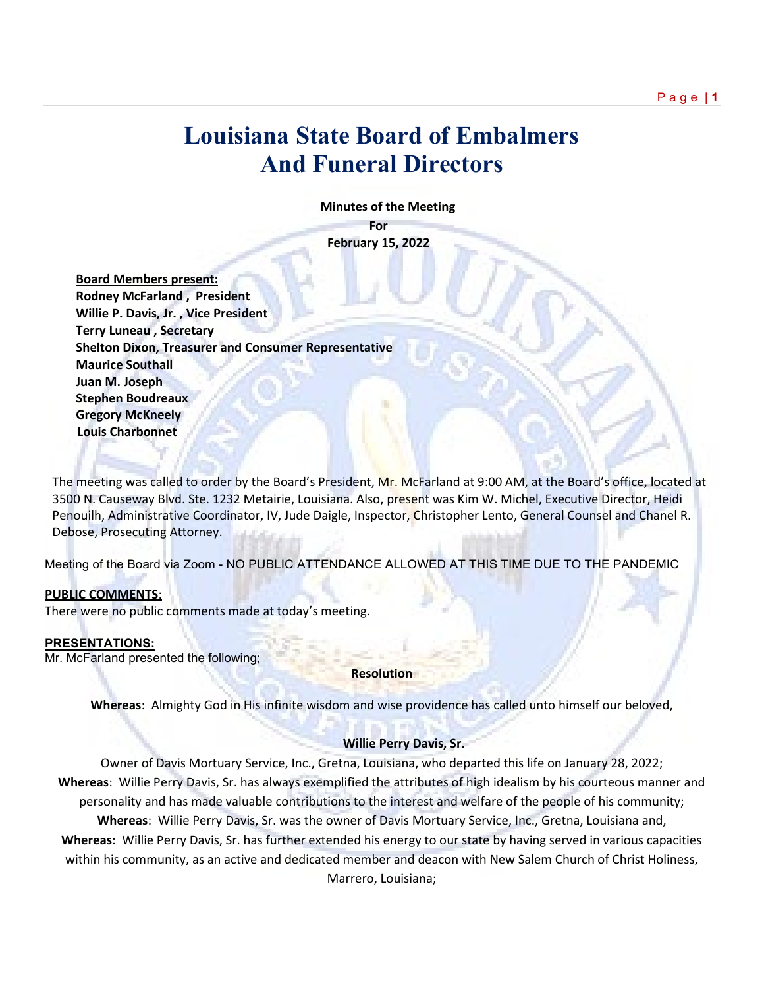# **Louisiana State Board of Embalmers And Funeral Directors**

 **Minutes of the Meeting**

**For February 15, 2022**

 **Board Members present: Rodney McFarland , President Willie P. Davis, Jr. , Vice President Terry Luneau , Secretary Shelton Dixon, Treasurer and Consumer Representative Maurice Southall Juan M. Joseph Stephen Boudreaux Gregory McKneely Louis Charbonnet**

The meeting was called to order by the Board's President, Mr. McFarland at 9:00 AM, at the Board's office, located at 3500 N. Causeway Blvd. Ste. 1232 Metairie, Louisiana. Also, present was Kim W. Michel, Executive Director, Heidi Penouilh, Administrative Coordinator, IV, Jude Daigle, Inspector, Christopher Lento, General Counsel and Chanel R. Debose, Prosecuting Attorney.

Meeting of the Board via Zoom - NO PUBLIC ATTENDANCE ALLOWED AT THIS TIME DUE TO THE PANDEMIC

#### **PUBLIC COMMENTS**:

There were no public comments made at today's meeting.

# **PRESENTATIONS:**

Mr. McFarland presented the following;

**Resolution**

**Whereas**: Almighty God in His infinite wisdom and wise providence has called unto himself our beloved,

# **Willie Perry Davis, Sr.**

Owner of Davis Mortuary Service, Inc., Gretna, Louisiana, who departed this life on January 28, 2022; **Whereas**: Willie Perry Davis, Sr. has always exemplified the attributes of high idealism by his courteous manner and personality and has made valuable contributions to the interest and welfare of the people of his community; **Whereas**: Willie Perry Davis, Sr. was the owner of Davis Mortuary Service, Inc., Gretna, Louisiana and, **Whereas**: Willie Perry Davis, Sr. has further extended his energy to our state by having served in various capacities within his community, as an active and dedicated member and deacon with New Salem Church of Christ Holiness,

Marrero, Louisiana;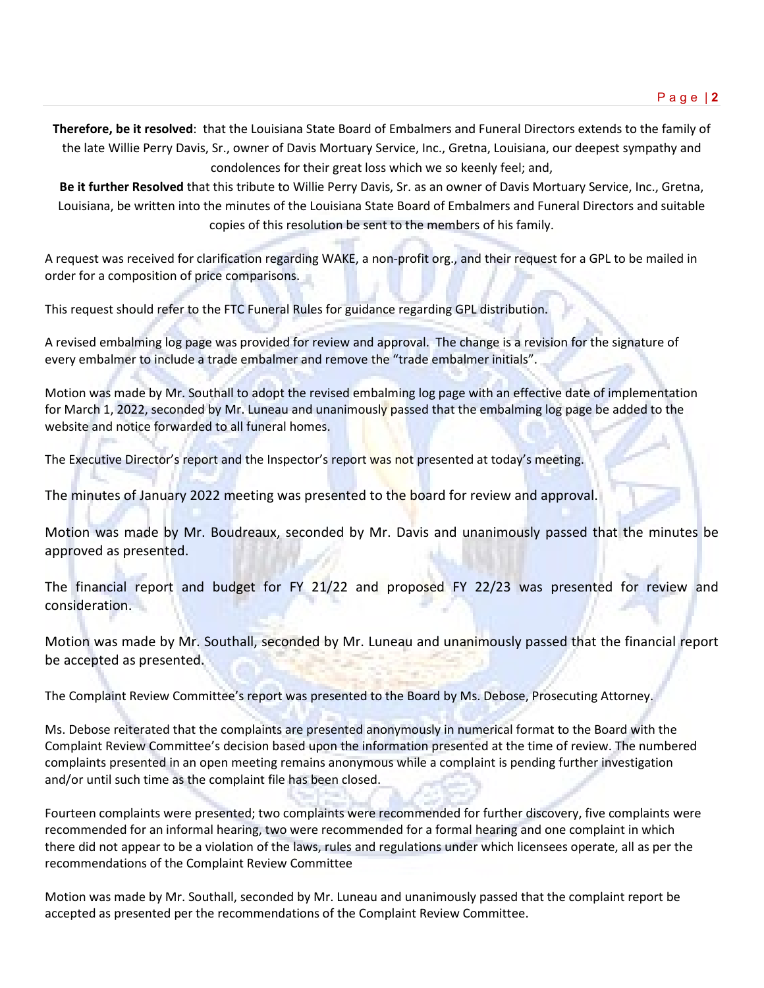**Therefore, be it resolved**: that the Louisiana State Board of Embalmers and Funeral Directors extends to the family of the late Willie Perry Davis, Sr., owner of Davis Mortuary Service, Inc., Gretna, Louisiana, our deepest sympathy and condolences for their great loss which we so keenly feel; and,

**Be it further Resolved** that this tribute to Willie Perry Davis, Sr. as an owner of Davis Mortuary Service, Inc., Gretna, Louisiana, be written into the minutes of the Louisiana State Board of Embalmers and Funeral Directors and suitable copies of this resolution be sent to the members of his family.

A request was received for clarification regarding WAKE, a non-profit org., and their request for a GPL to be mailed in order for a composition of price comparisons.

This request should refer to the FTC Funeral Rules for guidance regarding GPL distribution.

A revised embalming log page was provided for review and approval. The change is a revision for the signature of every embalmer to include a trade embalmer and remove the "trade embalmer initials".

Motion was made by Mr. Southall to adopt the revised embalming log page with an effective date of implementation for March 1, 2022, seconded by Mr. Luneau and unanimously passed that the embalming log page be added to the website and notice forwarded to all funeral homes.

The Executive Director's report and the Inspector's report was not presented at today's meeting.

The minutes of January 2022 meeting was presented to the board for review and approval.

Motion was made by Mr. Boudreaux, seconded by Mr. Davis and unanimously passed that the minutes be approved as presented.

The financial report and budget for FY 21/22 and proposed FY 22/23 was presented for review and consideration.

Motion was made by Mr. Southall, seconded by Mr. Luneau and unanimously passed that the financial report be accepted as presented.

The Complaint Review Committee's report was presented to the Board by Ms. Debose, Prosecuting Attorney.

Ms. Debose reiterated that the complaints are presented anonymously in numerical format to the Board with the Complaint Review Committee's decision based upon the information presented at the time of review. The numbered complaints presented in an open meeting remains anonymous while a complaint is pending further investigation and/or until such time as the complaint file has been closed.

Fourteen complaints were presented; two complaints were recommended for further discovery, five complaints were recommended for an informal hearing, two were recommended for a formal hearing and one complaint in which there did not appear to be a violation of the laws, rules and regulations under which licensees operate, all as per the recommendations of the Complaint Review Committee

Motion was made by Mr. Southall, seconded by Mr. Luneau and unanimously passed that the complaint report be accepted as presented per the recommendations of the Complaint Review Committee.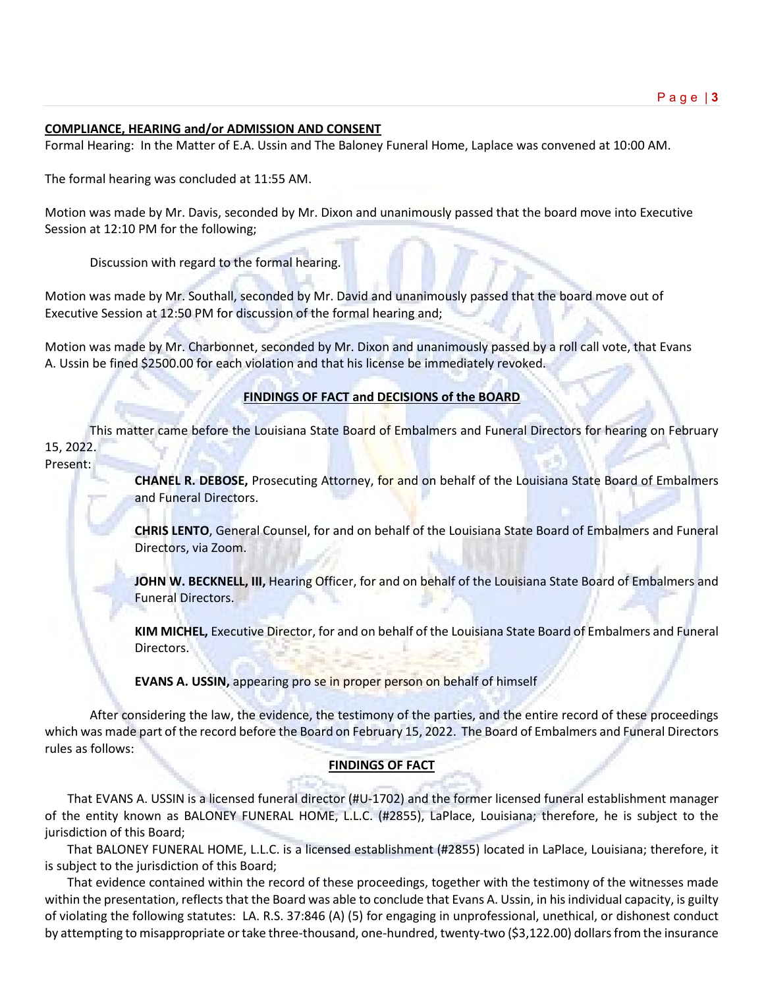# **COMPLIANCE, HEARING and/or ADMISSION AND CONSENT**

Formal Hearing: In the Matter of E.A. Ussin and The Baloney Funeral Home, Laplace was convened at 10:00 AM.

The formal hearing was concluded at 11:55 AM.

Motion was made by Mr. Davis, seconded by Mr. Dixon and unanimously passed that the board move into Executive Session at 12:10 PM for the following;

Discussion with regard to the formal hearing.

Motion was made by Mr. Southall, seconded by Mr. David and unanimously passed that the board move out of Executive Session at 12:50 PM for discussion of the formal hearing and;

Motion was made by Mr. Charbonnet, seconded by Mr. Dixon and unanimously passed by a roll call vote, that Evans A. Ussin be fined \$2500.00 for each violation and that his license be immediately revoked.

# **FINDINGS OF FACT and DECISIONS of the BOARD**

This matter came before the Louisiana State Board of Embalmers and Funeral Directors for hearing on February 15, 2022.

#### Present:

**CHANEL R. DEBOSE,** Prosecuting Attorney, for and on behalf of the Louisiana State Board of Embalmers and Funeral Directors.

**CHRIS LENTO**, General Counsel, for and on behalf of the Louisiana State Board of Embalmers and Funeral Directors, via Zoom.

**JOHN W. BECKNELL, III,** Hearing Officer, for and on behalf of the Louisiana State Board of Embalmers and Funeral Directors.

**KIM MICHEL,** Executive Director, for and on behalf of the Louisiana State Board of Embalmers and Funeral Directors.

**EVANS A. USSIN,** appearing pro se in proper person on behalf of himself

After considering the law, the evidence, the testimony of the parties, and the entire record of these proceedings which was made part of the record before the Board on February 15, 2022. The Board of Embalmers and Funeral Directors rules as follows:

# **FINDINGS OF FACT**

That EVANS A. USSIN is a licensed funeral director (#U-1702) and the former licensed funeral establishment manager of the entity known as BALONEY FUNERAL HOME, L.L.C. (#2855), LaPlace, Louisiana; therefore, he is subject to the jurisdiction of this Board;

That BALONEY FUNERAL HOME, L.L.C. is a licensed establishment (#2855) located in LaPlace, Louisiana; therefore, it is subject to the jurisdiction of this Board;

That evidence contained within the record of these proceedings, together with the testimony of the witnesses made within the presentation, reflects that the Board was able to conclude that Evans A. Ussin, in his individual capacity, is guilty of violating the following statutes: LA. R.S. 37:846 (A) (5) for engaging in unprofessional, unethical, or dishonest conduct by attempting to misappropriate or take three-thousand, one-hundred, twenty-two (\$3,122.00) dollars from the insurance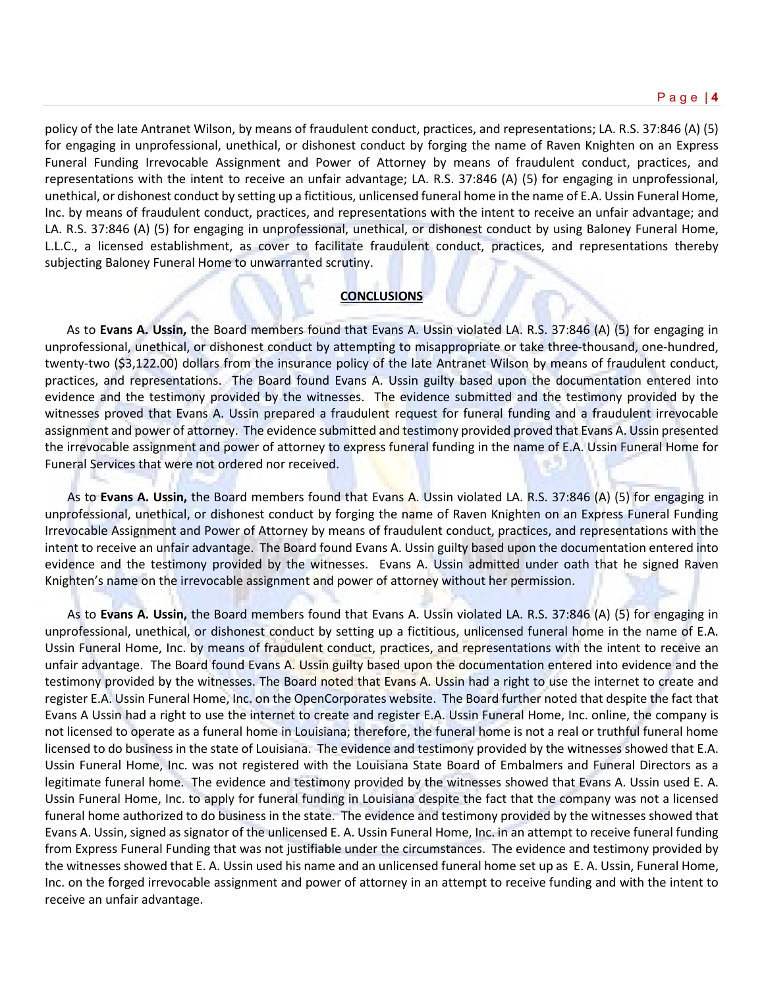policy of the late Antranet Wilson, by means of fraudulent conduct, practices, and representations; LA. R.S. 37:846 (A) (5) for engaging in unprofessional, unethical, or dishonest conduct by forging the name of Raven Knighten on an Express Funeral Funding Irrevocable Assignment and Power of Attorney by means of fraudulent conduct, practices, and representations with the intent to receive an unfair advantage; LA. R.S. 37:846 (A) (5) for engaging in unprofessional, unethical, or dishonest conduct by setting up a fictitious, unlicensed funeral home in the name of E.A. Ussin Funeral Home, Inc. by means of fraudulent conduct, practices, and representations with the intent to receive an unfair advantage; and LA. R.S. 37:846 (A) (5) for engaging in unprofessional, unethical, or dishonest conduct by using Baloney Funeral Home, L.L.C., a licensed establishment, as cover to facilitate fraudulent conduct, practices, and representations thereby subjecting Baloney Funeral Home to unwarranted scrutiny.

# **CONCLUSIONS**

 As to **Evans A. Ussin,** the Board members found that Evans A. Ussin violated LA. R.S. 37:846 (A) (5) for engaging in unprofessional, unethical, or dishonest conduct by attempting to misappropriate or take three-thousand, one-hundred, twenty-two (\$3,122.00) dollars from the insurance policy of the late Antranet Wilson by means of fraudulent conduct, practices, and representations. The Board found Evans A. Ussin guilty based upon the documentation entered into evidence and the testimony provided by the witnesses. The evidence submitted and the testimony provided by the witnesses proved that Evans A. Ussin prepared a fraudulent request for funeral funding and a fraudulent irrevocable assignment and power of attorney. The evidence submitted and testimony provided proved that Evans A. Ussin presented the irrevocable assignment and power of attorney to express funeral funding in the name of E.A. Ussin Funeral Home for Funeral Services that were not ordered nor received.

As to **Evans A. Ussin,** the Board members found that Evans A. Ussin violated LA. R.S. 37:846 (A) (5) for engaging in unprofessional, unethical, or dishonest conduct by forging the name of Raven Knighten on an Express Funeral Funding Irrevocable Assignment and Power of Attorney by means of fraudulent conduct, practices, and representations with the intent to receive an unfair advantage. The Board found Evans A. Ussin guilty based upon the documentation entered into evidence and the testimony provided by the witnesses. Evans A. Ussin admitted under oath that he signed Raven Knighten's name on the irrevocable assignment and power of attorney without her permission.

As to **Evans A. Ussin,** the Board members found that Evans A. Ussin violated LA. R.S. 37:846 (A) (5) for engaging in unprofessional, unethical, or dishonest conduct by setting up a fictitious, unlicensed funeral home in the name of E.A. Ussin Funeral Home, Inc. by means of fraudulent conduct, practices, and representations with the intent to receive an unfair advantage. The Board found Evans A. Ussin guilty based upon the documentation entered into evidence and the testimony provided by the witnesses. The Board noted that Evans A. Ussin had a right to use the internet to create and register E.A. Ussin Funeral Home, Inc. on the OpenCorporates website. The Board further noted that despite the fact that Evans A Ussin had a right to use the internet to create and register E.A. Ussin Funeral Home, Inc. online, the company is not licensed to operate as a funeral home in Louisiana; therefore, the funeral home is not a real or truthful funeral home licensed to do business in the state of Louisiana. The evidence and testimony provided by the witnesses showed that E.A. Ussin Funeral Home, Inc. was not registered with the Louisiana State Board of Embalmers and Funeral Directors as a legitimate funeral home. The evidence and testimony provided by the witnesses showed that Evans A. Ussin used E. A. Ussin Funeral Home, Inc. to apply for funeral funding in Louisiana despite the fact that the company was not a licensed funeral home authorized to do business in the state. The evidence and testimony provided by the witnesses showed that Evans A. Ussin, signed as signator of the unlicensed E. A. Ussin Funeral Home, Inc. in an attempt to receive funeral funding from Express Funeral Funding that was not justifiable under the circumstances. The evidence and testimony provided by the witnesses showed that E. A. Ussin used his name and an unlicensed funeral home set up as E. A. Ussin, Funeral Home, Inc. on the forged irrevocable assignment and power of attorney in an attempt to receive funding and with the intent to receive an unfair advantage.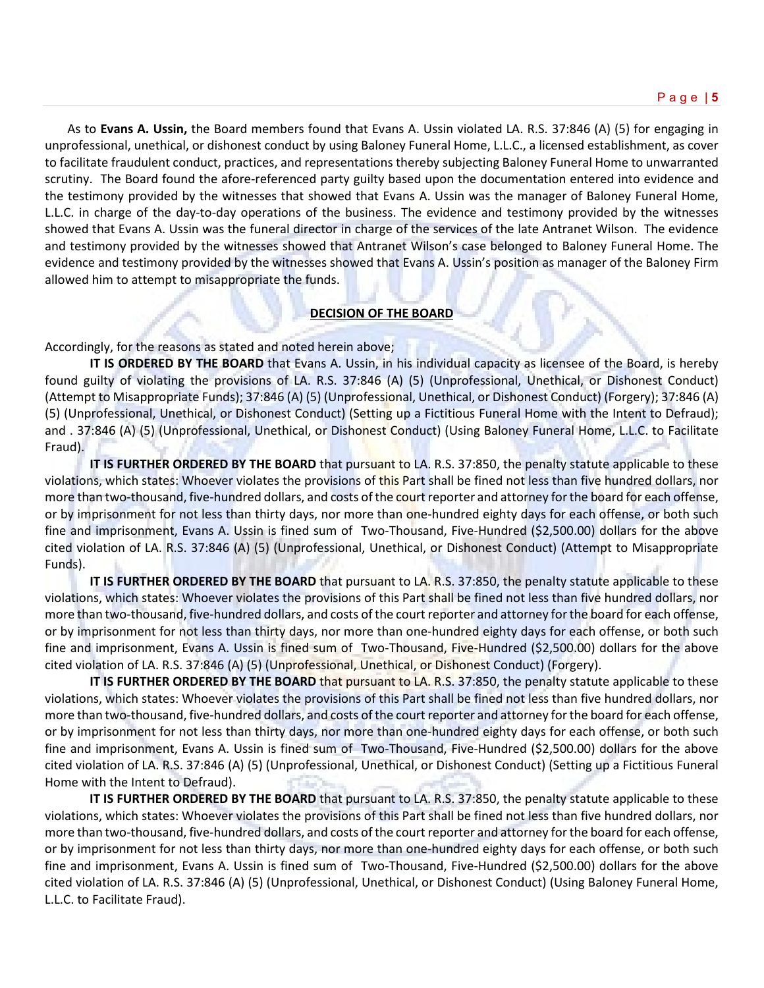As to **Evans A. Ussin,** the Board members found that Evans A. Ussin violated LA. R.S. 37:846 (A) (5) for engaging in unprofessional, unethical, or dishonest conduct by using Baloney Funeral Home, L.L.C., a licensed establishment, as cover to facilitate fraudulent conduct, practices, and representations thereby subjecting Baloney Funeral Home to unwarranted scrutiny. The Board found the afore-referenced party guilty based upon the documentation entered into evidence and the testimony provided by the witnesses that showed that Evans A. Ussin was the manager of Baloney Funeral Home, L.L.C. in charge of the day-to-day operations of the business. The evidence and testimony provided by the witnesses showed that Evans A. Ussin was the funeral director in charge of the services of the late Antranet Wilson. The evidence and testimony provided by the witnesses showed that Antranet Wilson's case belonged to Baloney Funeral Home. The evidence and testimony provided by the witnesses showed that Evans A. Ussin's position as manager of the Baloney Firm allowed him to attempt to misappropriate the funds.

# **DECISION OF THE BOARD**

Accordingly, for the reasons as stated and noted herein above;

**IT IS ORDERED BY THE BOARD** that Evans A. Ussin, in his individual capacity as licensee of the Board, is hereby found guilty of violating the provisions of LA. R.S. 37:846 (A) (5) (Unprofessional, Unethical, or Dishonest Conduct) (Attempt to Misappropriate Funds); 37:846 (A) (5) (Unprofessional, Unethical, or Dishonest Conduct) (Forgery); 37:846 (A) (5) (Unprofessional, Unethical, or Dishonest Conduct) (Setting up a Fictitious Funeral Home with the Intent to Defraud); and . 37:846 (A) (5) (Unprofessional, Unethical, or Dishonest Conduct) (Using Baloney Funeral Home, L.L.C. to Facilitate Fraud).

**IT IS FURTHER ORDERED BY THE BOARD** that pursuant to LA. R.S. 37:850, the penalty statute applicable to these violations, which states: Whoever violates the provisions of this Part shall be fined not less than five hundred dollars, nor more than two-thousand, five-hundred dollars, and costs of the court reporter and attorney for the board for each offense, or by imprisonment for not less than thirty days, nor more than one-hundred eighty days for each offense, or both such fine and imprisonment, Evans A. Ussin is fined sum of Two-Thousand, Five-Hundred (\$2,500.00) dollars for the above cited violation of LA. R.S. 37:846 (A) (5) (Unprofessional, Unethical, or Dishonest Conduct) (Attempt to Misappropriate Funds).

**IT IS FURTHER ORDERED BY THE BOARD** that pursuant to LA. R.S. 37:850, the penalty statute applicable to these violations, which states: Whoever violates the provisions of this Part shall be fined not less than five hundred dollars, nor more than two-thousand, five-hundred dollars, and costs of the court reporter and attorney for the board for each offense, or by imprisonment for not less than thirty days, nor more than one-hundred eighty days for each offense, or both such fine and imprisonment, Evans A. Ussin is fined sum of Two-Thousand, Five-Hundred (\$2,500.00) dollars for the above cited violation of LA. R.S. 37:846 (A) (5) (Unprofessional, Unethical, or Dishonest Conduct) (Forgery).

**IT IS FURTHER ORDERED BY THE BOARD** that pursuant to LA. R.S. 37:850, the penalty statute applicable to these violations, which states: Whoever violates the provisions of this Part shall be fined not less than five hundred dollars, nor more than two-thousand, five-hundred dollars, and costs of the court reporter and attorney for the board for each offense, or by imprisonment for not less than thirty days, nor more than one-hundred eighty days for each offense, or both such fine and imprisonment, Evans A. Ussin is fined sum of Two-Thousand, Five-Hundred (\$2,500.00) dollars for the above cited violation of LA. R.S. 37:846 (A) (5) (Unprofessional, Unethical, or Dishonest Conduct) (Setting up a Fictitious Funeral Home with the Intent to Defraud).

**IT IS FURTHER ORDERED BY THE BOARD** that pursuant to LA. R.S. 37:850, the penalty statute applicable to these violations, which states: Whoever violates the provisions of this Part shall be fined not less than five hundred dollars, nor more than two-thousand, five-hundred dollars, and costs of the court reporter and attorney for the board for each offense, or by imprisonment for not less than thirty days, nor more than one-hundred eighty days for each offense, or both such fine and imprisonment, Evans A. Ussin is fined sum of Two-Thousand, Five-Hundred (\$2,500.00) dollars for the above cited violation of LA. R.S. 37:846 (A) (5) (Unprofessional, Unethical, or Dishonest Conduct) (Using Baloney Funeral Home, L.L.C. to Facilitate Fraud).